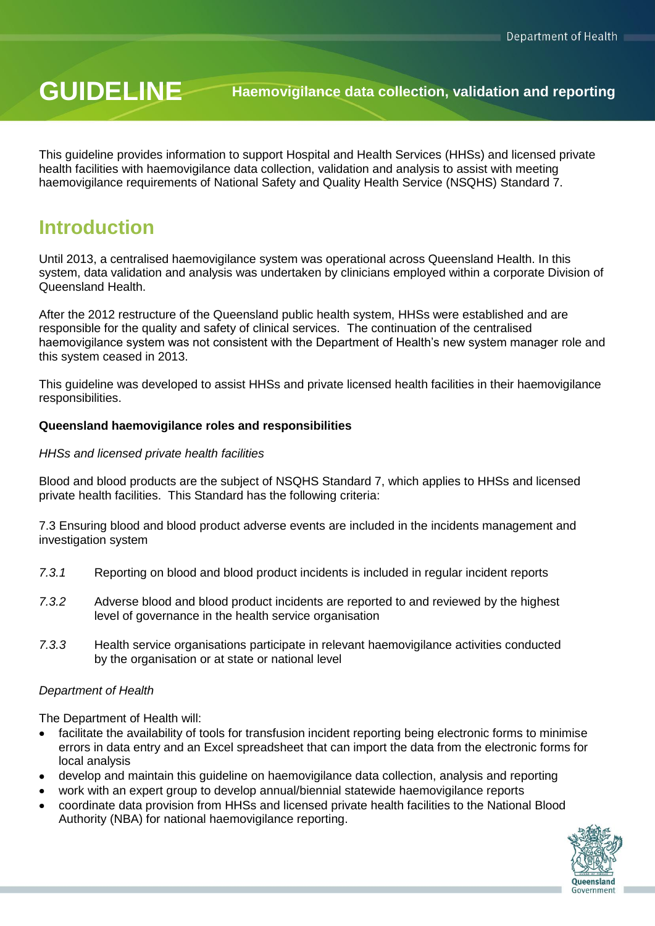# **GUIDELINE Haemovigilance data collection, validation and reporting**

This guideline provides information to support Hospital and Health Services (HHSs) and licensed private health facilities with haemovigilance data collection, validation and analysis to assist with meeting haemovigilance requirements of National Safety and Quality Health Service (NSQHS) Standard 7.

# **Introduction**

Until 2013, a centralised haemovigilance system was operational across Queensland Health. In this system, data validation and analysis was undertaken by clinicians employed within a corporate Division of Queensland Health.

After the 2012 restructure of the Queensland public health system, HHSs were established and are responsible for the quality and safety of clinical services. The continuation of the centralised haemovigilance system was not consistent with the Department of Health's new system manager role and this system ceased in 2013.

This guideline was developed to assist HHSs and private licensed health facilities in their haemovigilance responsibilities.

#### **Queensland haemovigilance roles and responsibilities**

#### *HHSs and licensed private health facilities*

Blood and blood products are the subject of NSQHS Standard 7, which applies to HHSs and licensed private health facilities. This Standard has the following criteria:

7.3 Ensuring blood and blood product adverse events are included in the incidents management and investigation system

- *7.3.1* Reporting on blood and blood product incidents is included in regular incident reports
- *7.3.2* Adverse blood and blood product incidents are reported to and reviewed by the highest level of governance in the health service organisation
- *7.3.3* Health service organisations participate in relevant haemovigilance activities conducted by the organisation or at state or national level

#### *Department of Health*

The Department of Health will:

- facilitate the availability of tools for transfusion incident reporting being electronic forms to minimise errors in data entry and an Excel spreadsheet that can import the data from the electronic forms for local analysis
- develop and maintain this guideline on haemovigilance data collection, analysis and reporting
- work with an expert group to develop annual/biennial statewide haemovigilance reports
- coordinate data provision from HHSs and licensed private health facilities to the National Blood Authority (NBA) for national haemovigilance reporting.

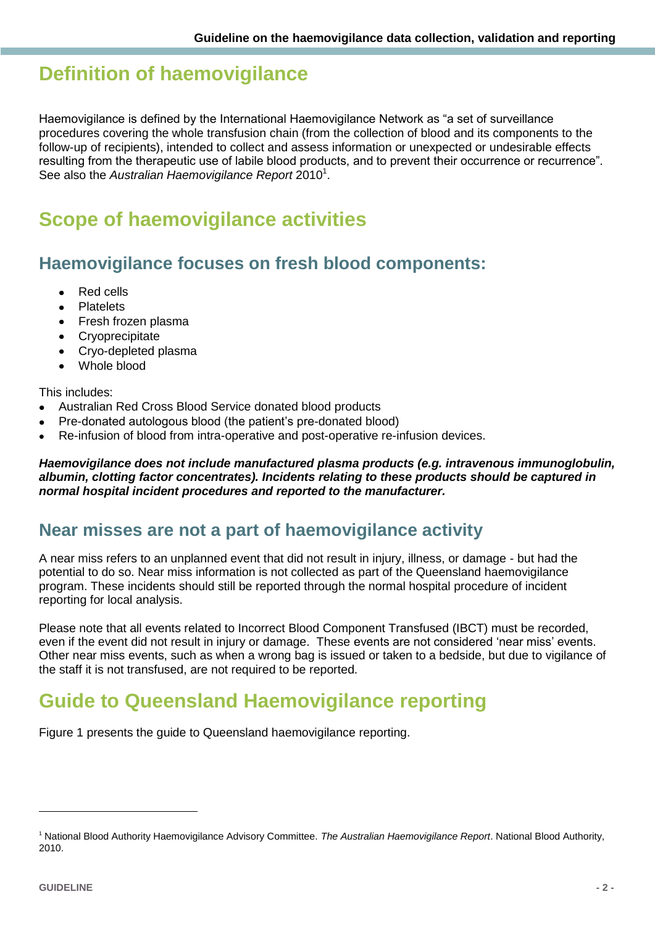# **Definition of haemovigilance**

Haemovigilance is defined by the International Haemovigilance Network as "a set of surveillance procedures covering the whole transfusion chain (from the collection of blood and its components to the follow-up of recipients), intended to collect and assess information or unexpected or undesirable effects resulting from the therapeutic use of labile blood products, and to prevent their occurrence or recurrence". See also the *Australian Haemovigilance Report* 2010<sup>1</sup>.

# **Scope of haemovigilance activities**

## **Haemovigilance focuses on fresh blood components:**

- Red cells
- Platelets
- Fresh frozen plasma
- Cryoprecipitate
- Cryo-depleted plasma
- Whole blood

#### This includes:

- Australian Red Cross Blood Service donated blood products
- Pre-donated autologous blood (the patient's pre-donated blood)
- Re-infusion of blood from intra-operative and post-operative re-infusion devices.

*Haemovigilance does not include manufactured plasma products (e.g. intravenous immunoglobulin, albumin, clotting factor concentrates). Incidents relating to these products should be captured in normal hospital incident procedures and reported to the manufacturer.* 

# **Near misses are not a part of haemovigilance activity**

A near miss refers to an unplanned event that did not result in injury, illness, or damage - but had the potential to do so. Near miss information is not collected as part of the Queensland haemovigilance program. These incidents should still be reported through the normal hospital procedure of incident reporting for local analysis.

Please note that all events related to Incorrect Blood Component Transfused (IBCT) must be recorded, even if the event did not result in injury or damage. These events are not considered 'near miss' events. Other near miss events, such as when a wrong bag is issued or taken to a bedside, but due to vigilance of the staff it is not transfused, are not required to be reported.

# **Guide to Queensland Haemovigilance reporting**

Figure 1 presents the guide to Queensland haemovigilance reporting.

<sup>1</sup> National Blood Authority Haemovigilance Advisory Committee. *The Australian Haemovigilance Report*. National Blood Authority, 2010.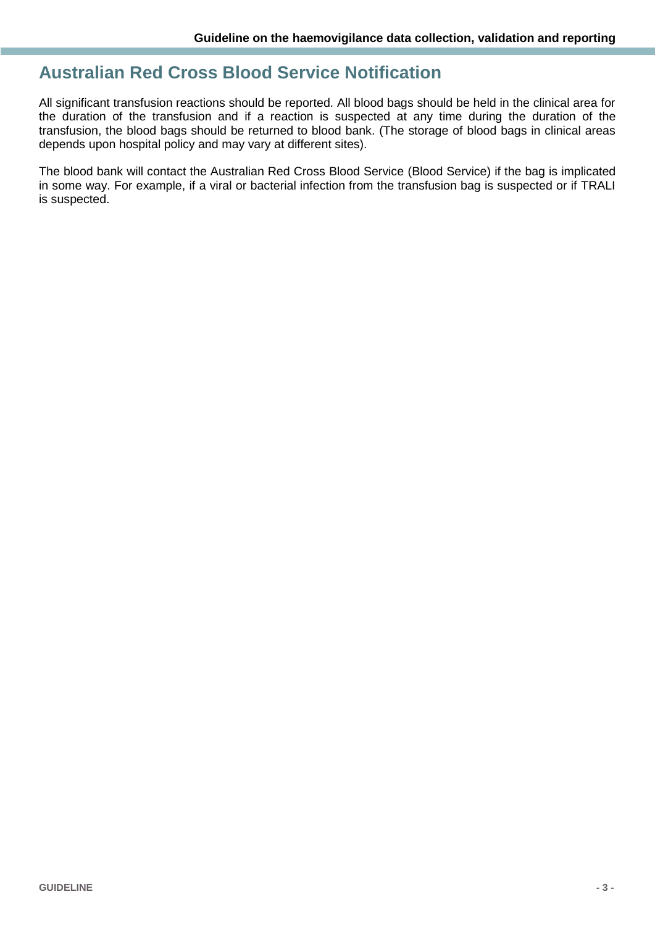## **Australian Red Cross Blood Service Notification**

All significant transfusion reactions should be reported. All blood bags should be held in the clinical area for the duration of the transfusion and if a reaction is suspected at any time during the duration of the transfusion, the blood bags should be returned to blood bank. (The storage of blood bags in clinical areas depends upon hospital policy and may vary at different sites).

The blood bank will contact the Australian Red Cross Blood Service (Blood Service) if the bag is implicated in some way. For example, if a viral or bacterial infection from the transfusion bag is suspected or if TRALI is suspected.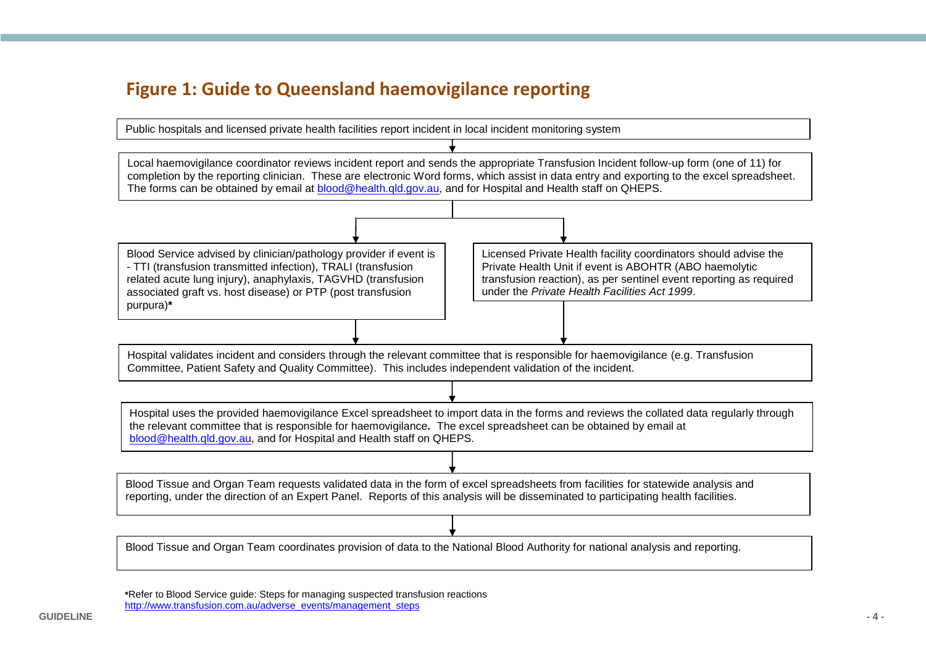# **Figure 1: Guide to Queensland haemovigilance reporting**



**\***Refer to Blood Service guide: Steps for managing suspected transfusion reactions [http://www.transfusion.com.au/adverse\\_events/management\\_steps](http://www.transfusion.com.au/adverse_events/management_steps)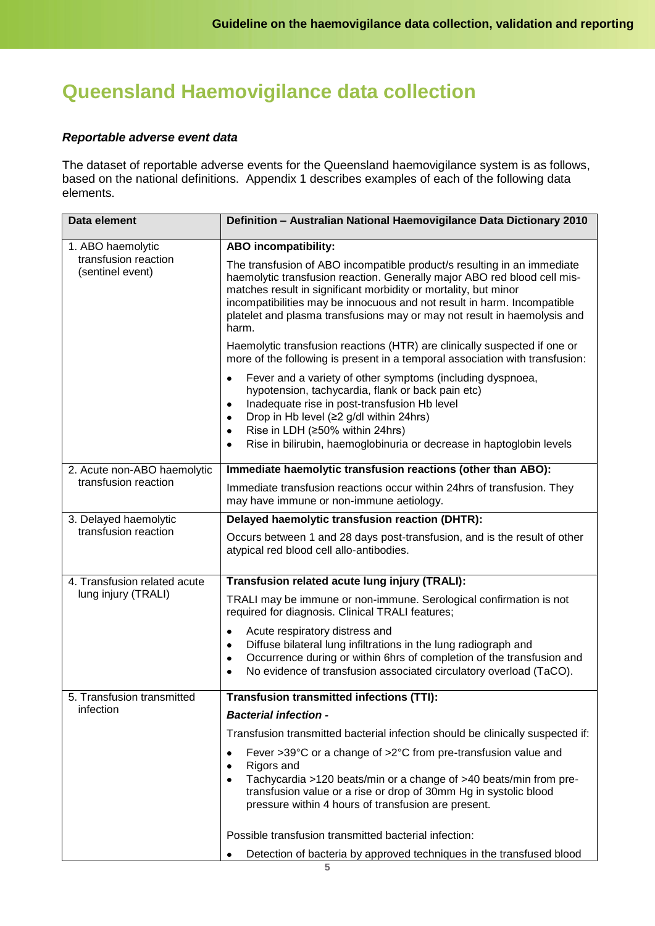# **Queensland Haemovigilance data collection**

#### *Reportable adverse event data*

The dataset of reportable adverse events for the Queensland haemovigilance system is as follows, based on the national definitions. Appendix 1 describes examples of each of the following data elements.

| Data element                                        | Definition - Australian National Haemovigilance Data Dictionary 2010                                                                                                                                                                                                                                                                                                                   |  |  |
|-----------------------------------------------------|----------------------------------------------------------------------------------------------------------------------------------------------------------------------------------------------------------------------------------------------------------------------------------------------------------------------------------------------------------------------------------------|--|--|
| 1. ABO haemolytic                                   | <b>ABO</b> incompatibility:                                                                                                                                                                                                                                                                                                                                                            |  |  |
| transfusion reaction<br>(sentinel event)            | The transfusion of ABO incompatible product/s resulting in an immediate<br>haemolytic transfusion reaction. Generally major ABO red blood cell mis-<br>matches result in significant morbidity or mortality, but minor<br>incompatibilities may be innocuous and not result in harm. Incompatible<br>platelet and plasma transfusions may or may not result in haemolysis and<br>harm. |  |  |
|                                                     | Haemolytic transfusion reactions (HTR) are clinically suspected if one or<br>more of the following is present in a temporal association with transfusion:                                                                                                                                                                                                                              |  |  |
|                                                     | Fever and a variety of other symptoms (including dyspnoea,<br>٠<br>hypotension, tachycardia, flank or back pain etc)<br>Inadequate rise in post-transfusion Hb level<br>٠<br>Drop in Hb level (≥2 g/dl within 24hrs)<br>Rise in LDH (≥50% within 24hrs)<br>Rise in bilirubin, haemoglobinuria or decrease in haptoglobin levels                                                        |  |  |
| 2. Acute non-ABO haemolytic<br>transfusion reaction | Immediate haemolytic transfusion reactions (other than ABO):                                                                                                                                                                                                                                                                                                                           |  |  |
|                                                     | Immediate transfusion reactions occur within 24hrs of transfusion. They<br>may have immune or non-immune aetiology.                                                                                                                                                                                                                                                                    |  |  |
| 3. Delayed haemolytic<br>transfusion reaction       | Delayed haemolytic transfusion reaction (DHTR):                                                                                                                                                                                                                                                                                                                                        |  |  |
|                                                     | Occurs between 1 and 28 days post-transfusion, and is the result of other<br>atypical red blood cell allo-antibodies.                                                                                                                                                                                                                                                                  |  |  |
| 4. Transfusion related acute<br>lung injury (TRALI) | Transfusion related acute lung injury (TRALI):                                                                                                                                                                                                                                                                                                                                         |  |  |
|                                                     | TRALI may be immune or non-immune. Serological confirmation is not<br>required for diagnosis. Clinical TRALI features;                                                                                                                                                                                                                                                                 |  |  |
|                                                     | Acute respiratory distress and<br>٠<br>Diffuse bilateral lung infiltrations in the lung radiograph and<br>$\bullet$<br>Occurrence during or within 6hrs of completion of the transfusion and<br>٠<br>No evidence of transfusion associated circulatory overload (TaCO).<br>$\bullet$                                                                                                   |  |  |
| 5. Transfusion transmitted<br>infection             | <b>Transfusion transmitted infections (TTI):</b>                                                                                                                                                                                                                                                                                                                                       |  |  |
|                                                     | <b>Bacterial infection -</b>                                                                                                                                                                                                                                                                                                                                                           |  |  |
|                                                     | Transfusion transmitted bacterial infection should be clinically suspected if:                                                                                                                                                                                                                                                                                                         |  |  |
|                                                     | Fever >39°C or a change of >2°C from pre-transfusion value and<br>٠<br>Rigors and<br>٠<br>Tachycardia >120 beats/min or a change of >40 beats/min from pre-<br>transfusion value or a rise or drop of 30mm Hg in systolic blood<br>pressure within 4 hours of transfusion are present.                                                                                                 |  |  |
|                                                     | Possible transfusion transmitted bacterial infection:                                                                                                                                                                                                                                                                                                                                  |  |  |
|                                                     | Detection of bacteria by approved techniques in the transfused blood                                                                                                                                                                                                                                                                                                                   |  |  |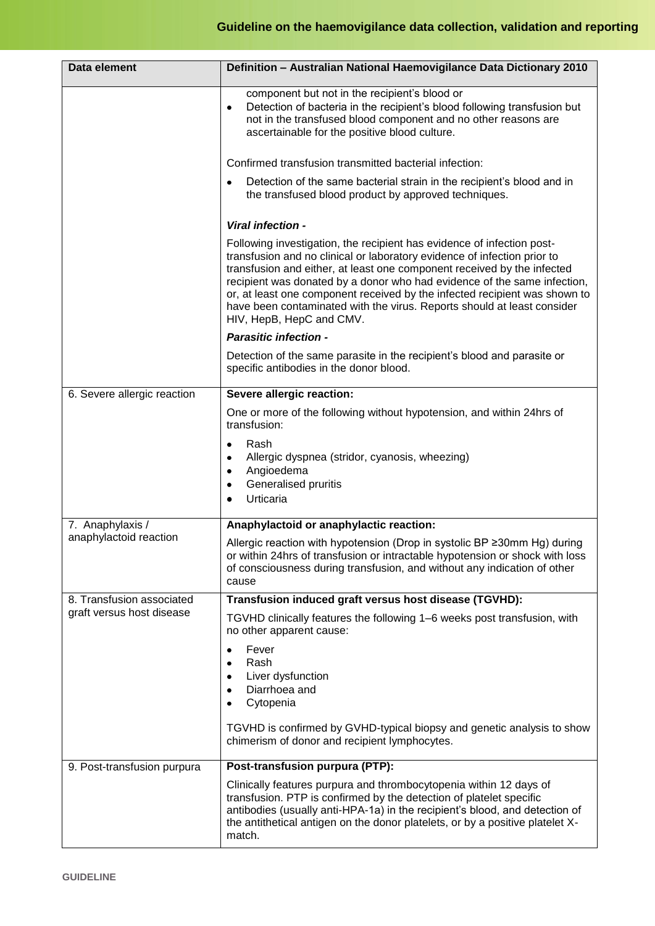| Data element                                           | Definition - Australian National Haemovigilance Data Dictionary 2010                                                                                                                                                                                                                                                                                                                                                                                                                           |  |  |
|--------------------------------------------------------|------------------------------------------------------------------------------------------------------------------------------------------------------------------------------------------------------------------------------------------------------------------------------------------------------------------------------------------------------------------------------------------------------------------------------------------------------------------------------------------------|--|--|
|                                                        | component but not in the recipient's blood or<br>Detection of bacteria in the recipient's blood following transfusion but<br>$\bullet$<br>not in the transfused blood component and no other reasons are<br>ascertainable for the positive blood culture.                                                                                                                                                                                                                                      |  |  |
|                                                        | Confirmed transfusion transmitted bacterial infection:                                                                                                                                                                                                                                                                                                                                                                                                                                         |  |  |
|                                                        | Detection of the same bacterial strain in the recipient's blood and in<br>the transfused blood product by approved techniques.                                                                                                                                                                                                                                                                                                                                                                 |  |  |
|                                                        | Viral infection -                                                                                                                                                                                                                                                                                                                                                                                                                                                                              |  |  |
|                                                        | Following investigation, the recipient has evidence of infection post-<br>transfusion and no clinical or laboratory evidence of infection prior to<br>transfusion and either, at least one component received by the infected<br>recipient was donated by a donor who had evidence of the same infection,<br>or, at least one component received by the infected recipient was shown to<br>have been contaminated with the virus. Reports should at least consider<br>HIV, HepB, HepC and CMV. |  |  |
|                                                        | <b>Parasitic infection -</b>                                                                                                                                                                                                                                                                                                                                                                                                                                                                   |  |  |
|                                                        | Detection of the same parasite in the recipient's blood and parasite or<br>specific antibodies in the donor blood.                                                                                                                                                                                                                                                                                                                                                                             |  |  |
| 6. Severe allergic reaction                            | Severe allergic reaction:                                                                                                                                                                                                                                                                                                                                                                                                                                                                      |  |  |
|                                                        | One or more of the following without hypotension, and within 24hrs of<br>transfusion:                                                                                                                                                                                                                                                                                                                                                                                                          |  |  |
|                                                        | Rash<br>٠<br>Allergic dyspnea (stridor, cyanosis, wheezing)<br>٠<br>Angioedema<br>٠<br>Generalised pruritis<br>٠<br>Urticaria                                                                                                                                                                                                                                                                                                                                                                  |  |  |
| 7. Anaphylaxis /                                       | Anaphylactoid or anaphylactic reaction:                                                                                                                                                                                                                                                                                                                                                                                                                                                        |  |  |
| anaphylactoid reaction                                 | Allergic reaction with hypotension (Drop in systolic BP ≥30mm Hg) during<br>or within 24hrs of transfusion or intractable hypotension or shock with loss<br>of consciousness during transfusion, and without any indication of other<br>cause                                                                                                                                                                                                                                                  |  |  |
| 8. Transfusion associated<br>graft versus host disease | Transfusion induced graft versus host disease (TGVHD):                                                                                                                                                                                                                                                                                                                                                                                                                                         |  |  |
|                                                        | TGVHD clinically features the following 1-6 weeks post transfusion, with<br>no other apparent cause:                                                                                                                                                                                                                                                                                                                                                                                           |  |  |
|                                                        | Fever<br>٠<br>Rash<br>٠<br>Liver dysfunction<br>٠<br>Diarrhoea and<br>٠<br>Cytopenia<br>TGVHD is confirmed by GVHD-typical biopsy and genetic analysis to show<br>chimerism of donor and recipient lymphocytes.                                                                                                                                                                                                                                                                                |  |  |
| 9. Post-transfusion purpura                            | Post-transfusion purpura (PTP):                                                                                                                                                                                                                                                                                                                                                                                                                                                                |  |  |
|                                                        | Clinically features purpura and thrombocytopenia within 12 days of<br>transfusion. PTP is confirmed by the detection of platelet specific<br>antibodies (usually anti-HPA-1a) in the recipient's blood, and detection of<br>the antithetical antigen on the donor platelets, or by a positive platelet X-<br>match.                                                                                                                                                                            |  |  |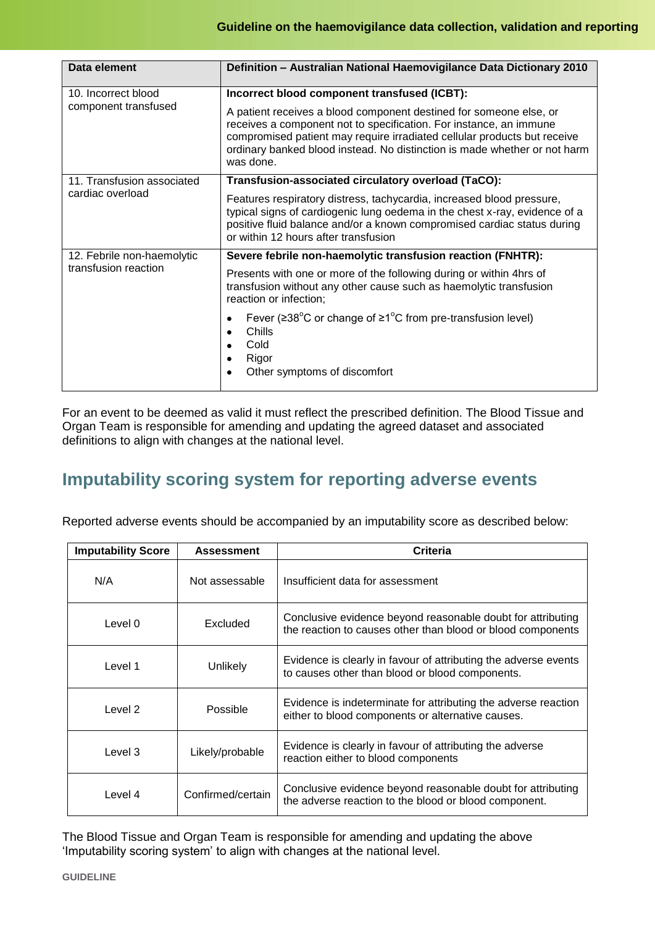| Data element                                       | Definition - Australian National Haemovigilance Data Dictionary 2010                                                                                                                                                                                                                                           |
|----------------------------------------------------|----------------------------------------------------------------------------------------------------------------------------------------------------------------------------------------------------------------------------------------------------------------------------------------------------------------|
| 10. Incorrect blood<br>component transfused        | Incorrect blood component transfused (ICBT):                                                                                                                                                                                                                                                                   |
|                                                    | A patient receives a blood component destined for someone else, or<br>receives a component not to specification. For instance, an immune<br>compromised patient may require irradiated cellular products but receive<br>ordinary banked blood instead. No distinction is made whether or not harm<br>was done. |
| 11. Transfusion associated<br>cardiac overload     | Transfusion-associated circulatory overload (TaCO):                                                                                                                                                                                                                                                            |
|                                                    | Features respiratory distress, tachycardia, increased blood pressure,<br>typical signs of cardiogenic lung oedema in the chest x-ray, evidence of a<br>positive fluid balance and/or a known compromised cardiac status during<br>or within 12 hours after transfusion                                         |
| 12. Febrile non-haemolytic<br>transfusion reaction | Severe febrile non-haemolytic transfusion reaction (FNHTR):                                                                                                                                                                                                                                                    |
|                                                    | Presents with one or more of the following during or within 4hrs of<br>transfusion without any other cause such as haemolytic transfusion<br>reaction or infection;                                                                                                                                            |
|                                                    | Fever ( $\geq 38^{\circ}$ C or change of $\geq 1^{\circ}$ C from pre-transfusion level)<br>Chills<br>Cold<br>Rigor<br>Other symptoms of discomfort                                                                                                                                                             |

For an event to be deemed as valid it must reflect the prescribed definition. The Blood Tissue and Organ Team is responsible for amending and updating the agreed dataset and associated definitions to align with changes at the national level.

# **Imputability scoring system for reporting adverse events**

Reported adverse events should be accompanied by an imputability score as described below:

| <b>Imputability Score</b> | <b>Assessment</b> | Criteria                                                                                                                   |
|---------------------------|-------------------|----------------------------------------------------------------------------------------------------------------------------|
| N/A                       | Not assessable    | Insufficient data for assessment                                                                                           |
| Level 0                   | Excluded          | Conclusive evidence beyond reasonable doubt for attributing<br>the reaction to causes other than blood or blood components |
| Level 1                   | Unlikely          | Evidence is clearly in favour of attributing the adverse events<br>to causes other than blood or blood components.         |
| Level 2                   | Possible          | Evidence is indeterminate for attributing the adverse reaction<br>either to blood components or alternative causes.        |
| Level 3                   | Likely/probable   | Evidence is clearly in favour of attributing the adverse<br>reaction either to blood components                            |
| Level 4                   | Confirmed/certain | Conclusive evidence beyond reasonable doubt for attributing<br>the adverse reaction to the blood or blood component.       |

The Blood Tissue and Organ Team is responsible for amending and updating the above 'Imputability scoring system' to align with changes at the national level.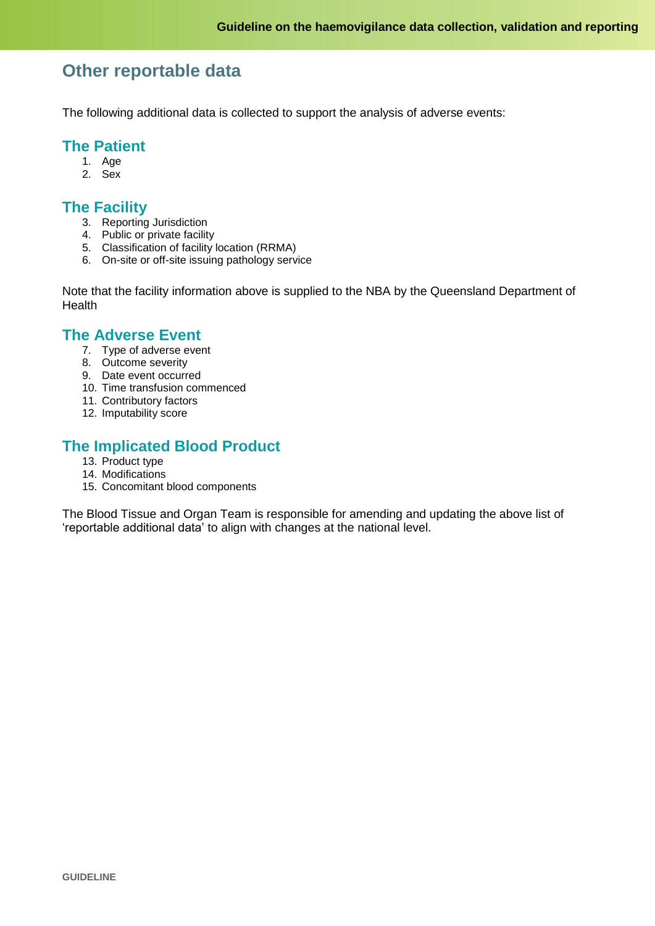## **Other reportable data**

The following additional data is collected to support the analysis of adverse events:

## **The Patient**

- 1. Age
- 2. Sex

## **The Facility**

- 3. Reporting Jurisdiction
- 4. Public or private facility
- 5. Classification of facility location (RRMA)
- 6. On-site or off-site issuing pathology service

Note that the facility information above is supplied to the NBA by the Queensland Department of **Health** 

## **The Adverse Event**

- 7. Type of adverse event
- 8. Outcome severity
- 9. Date event occurred
- 10. Time transfusion commenced
- 11. Contributory factors
- 12. Imputability score

## **The Implicated Blood Product**

- 13. Product type
- 14. Modifications
- 15. Concomitant blood components

The Blood Tissue and Organ Team is responsible for amending and updating the above list of 'reportable additional data' to align with changes at the national level.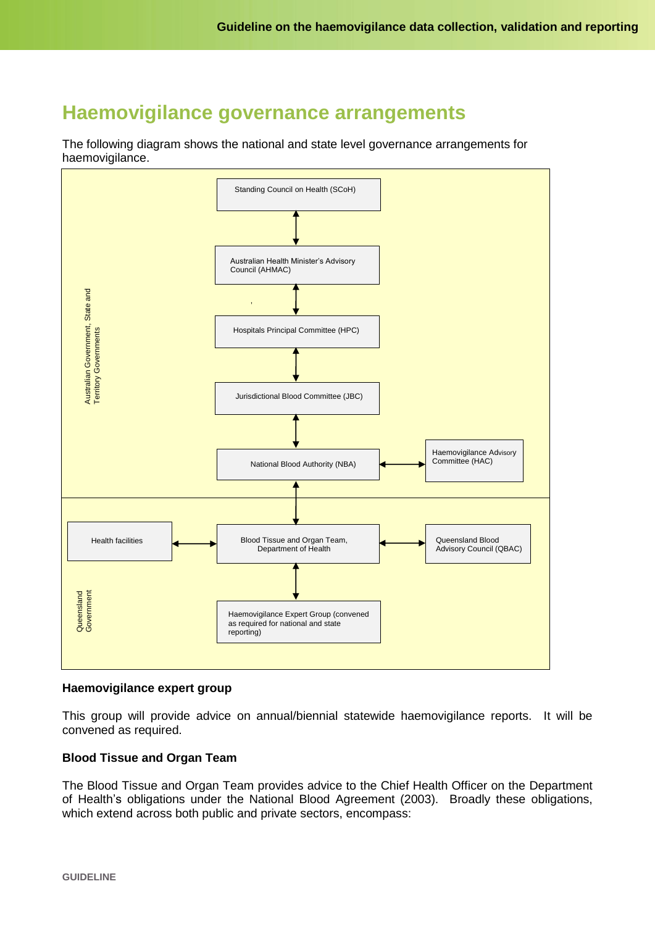## **Haemovigilance governance arrangements**

The following diagram shows the national and state level governance arrangements for haemovigilance.



#### **Haemovigilance expert group**

This group will provide advice on annual/biennial statewide haemovigilance reports. It will be convened as required.

#### **Blood Tissue and Organ Team**

The Blood Tissue and Organ Team provides advice to the Chief Health Officer on the Department of Health's obligations under the National Blood Agreement (2003). Broadly these obligations, which extend across both public and private sectors, encompass: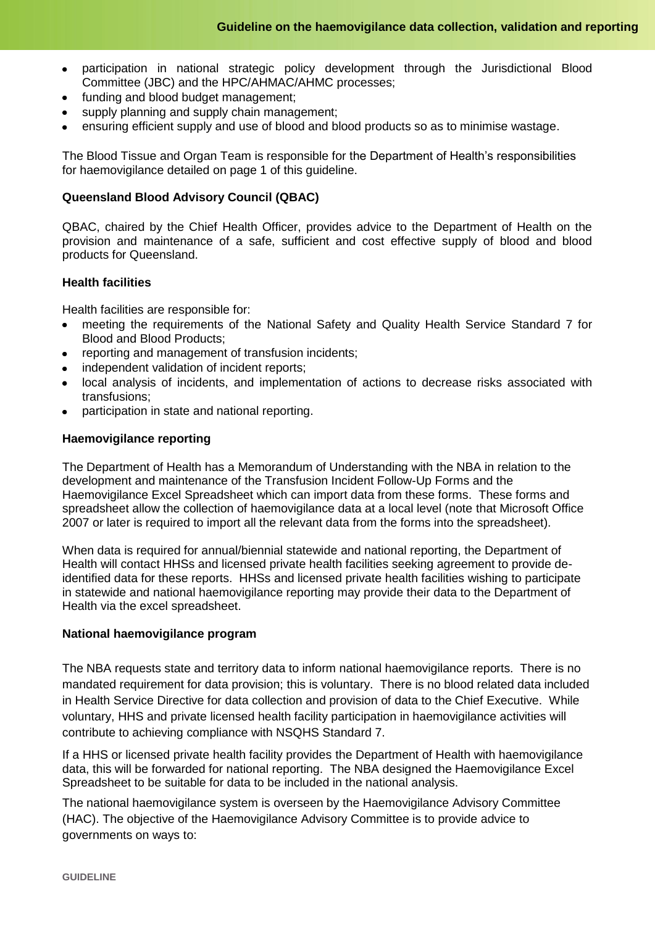- participation in national strategic policy development through the Jurisdictional Blood  $\bullet$ Committee (JBC) and the HPC/AHMAC/AHMC processes;
- funding and blood budget management;
- supply planning and supply chain management;
- ensuring efficient supply and use of blood and blood products so as to minimise wastage.

The Blood Tissue and Organ Team is responsible for the Department of Health's responsibilities for haemovigilance detailed on page 1 of this guideline.

#### **Queensland Blood Advisory Council (QBAC)**

QBAC, chaired by the Chief Health Officer, provides advice to the Department of Health on the provision and maintenance of a safe, sufficient and cost effective supply of blood and blood products for Queensland.

#### **Health facilities**

Health facilities are responsible for:

- meeting the requirements of the National Safety and Quality Health Service Standard 7 for  $\bullet$ Blood and Blood Products;
- reporting and management of transfusion incidents:
- independent validation of incident reports:
- local analysis of incidents, and implementation of actions to decrease risks associated with transfusions;
- participation in state and national reporting.

#### **Haemovigilance reporting**

The Department of Health has a Memorandum of Understanding with the NBA in relation to the development and maintenance of the Transfusion Incident Follow-Up Forms and the Haemovigilance Excel Spreadsheet which can import data from these forms. These forms and spreadsheet allow the collection of haemovigilance data at a local level (note that Microsoft Office 2007 or later is required to import all the relevant data from the forms into the spreadsheet).

When data is required for annual/biennial statewide and national reporting, the Department of Health will contact HHSs and licensed private health facilities seeking agreement to provide deidentified data for these reports. HHSs and licensed private health facilities wishing to participate in statewide and national haemovigilance reporting may provide their data to the Department of Health via the excel spreadsheet.

#### **National haemovigilance program**

The NBA requests state and territory data to inform national haemovigilance reports. There is no mandated requirement for data provision; this is voluntary. There is no blood related data included in Health Service Directive for data collection and provision of data to the Chief Executive. While voluntary, HHS and private licensed health facility participation in haemovigilance activities will contribute to achieving compliance with NSQHS Standard 7.

If a HHS or licensed private health facility provides the Department of Health with haemovigilance data, this will be forwarded for national reporting. The NBA designed the Haemovigilance Excel Spreadsheet to be suitable for data to be included in the national analysis.

The national haemovigilance system is overseen by the Haemovigilance Advisory Committee (HAC). The objective of the Haemovigilance Advisory Committee is to provide advice to governments on ways to: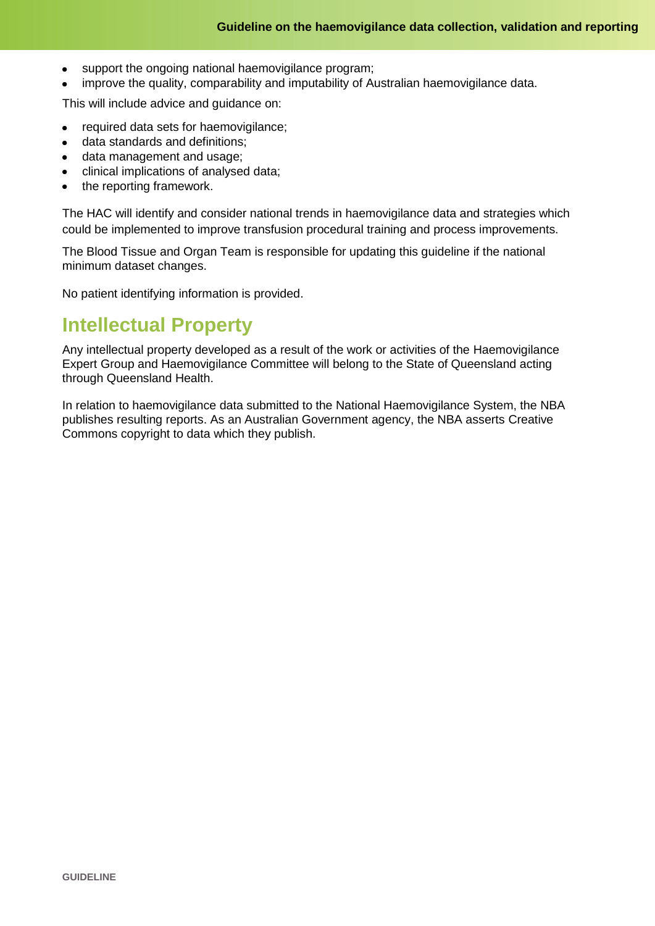- support the ongoing national haemovigilance program;  $\bullet$
- improve the quality, comparability and imputability of Australian haemovigilance data.

This will include advice and guidance on:

- required data sets for haemovigilance;
- data standards and definitions;  $\bullet$
- data management and usage;
- clinical implications of analysed data;
- the reporting framework.

The HAC will identify and consider national trends in haemovigilance data and strategies which could be implemented to improve transfusion procedural training and process improvements.

The Blood Tissue and Organ Team is responsible for updating this guideline if the national minimum dataset changes.

No patient identifying information is provided.

# **Intellectual Property**

Any intellectual property developed as a result of the work or activities of the Haemovigilance Expert Group and Haemovigilance Committee will belong to the State of Queensland acting through Queensland Health.

In relation to haemovigilance data submitted to the National Haemovigilance System, the NBA publishes resulting reports. As an Australian Government agency, the NBA asserts Creative Commons copyright to data which they publish.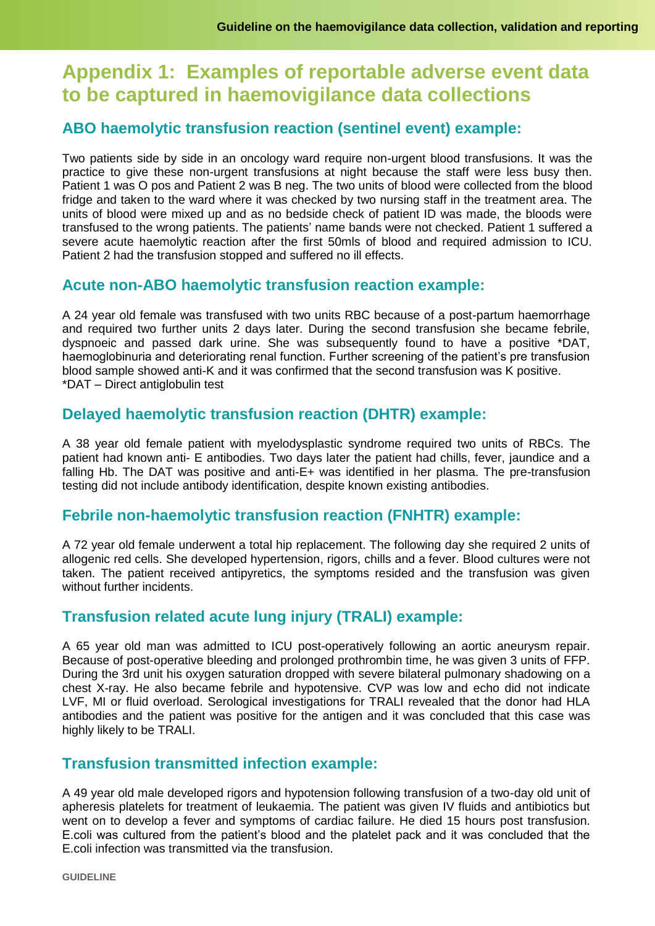# **Appendix 1: Examples of reportable adverse event data to be captured in haemovigilance data collections**

## **ABO haemolytic transfusion reaction (sentinel event) example:**

Two patients side by side in an oncology ward require non-urgent blood transfusions. It was the practice to give these non-urgent transfusions at night because the staff were less busy then. Patient 1 was O pos and Patient 2 was B neg. The two units of blood were collected from the blood fridge and taken to the ward where it was checked by two nursing staff in the treatment area. The units of blood were mixed up and as no bedside check of patient ID was made, the bloods were transfused to the wrong patients. The patients' name bands were not checked. Patient 1 suffered a severe acute haemolytic reaction after the first 50mls of blood and required admission to ICU. Patient 2 had the transfusion stopped and suffered no ill effects.

## **Acute non-ABO haemolytic transfusion reaction example:**

A 24 year old female was transfused with two units RBC because of a post-partum haemorrhage and required two further units 2 days later. During the second transfusion she became febrile, dyspnoeic and passed dark urine. She was subsequently found to have a positive \*DAT, haemoglobinuria and deteriorating renal function. Further screening of the patient's pre transfusion blood sample showed anti-K and it was confirmed that the second transfusion was K positive. \*DAT – Direct antiglobulin test

## **Delayed haemolytic transfusion reaction (DHTR) example:**

A 38 year old female patient with myelodysplastic syndrome required two units of RBCs. The patient had known anti- E antibodies. Two days later the patient had chills, fever, jaundice and a falling Hb. The DAT was positive and anti-E+ was identified in her plasma. The pre-transfusion testing did not include antibody identification, despite known existing antibodies.

## **Febrile non-haemolytic transfusion reaction (FNHTR) example:**

A 72 year old female underwent a total hip replacement. The following day she required 2 units of allogenic red cells. She developed hypertension, rigors, chills and a fever. Blood cultures were not taken. The patient received antipyretics, the symptoms resided and the transfusion was given without further incidents.

## **Transfusion related acute lung injury (TRALI) example:**

A 65 year old man was admitted to ICU post-operatively following an aortic aneurysm repair. Because of post-operative bleeding and prolonged prothrombin time, he was given 3 units of FFP. During the 3rd unit his oxygen saturation dropped with severe bilateral pulmonary shadowing on a chest X-ray. He also became febrile and hypotensive. CVP was low and echo did not indicate LVF, MI or fluid overload. Serological investigations for TRALI revealed that the donor had HLA antibodies and the patient was positive for the antigen and it was concluded that this case was highly likely to be TRALI.

## **Transfusion transmitted infection example:**

A 49 year old male developed rigors and hypotension following transfusion of a two-day old unit of apheresis platelets for treatment of leukaemia. The patient was given IV fluids and antibiotics but went on to develop a fever and symptoms of cardiac failure. He died 15 hours post transfusion. E.coli was cultured from the patient's blood and the platelet pack and it was concluded that the E.coli infection was transmitted via the transfusion.